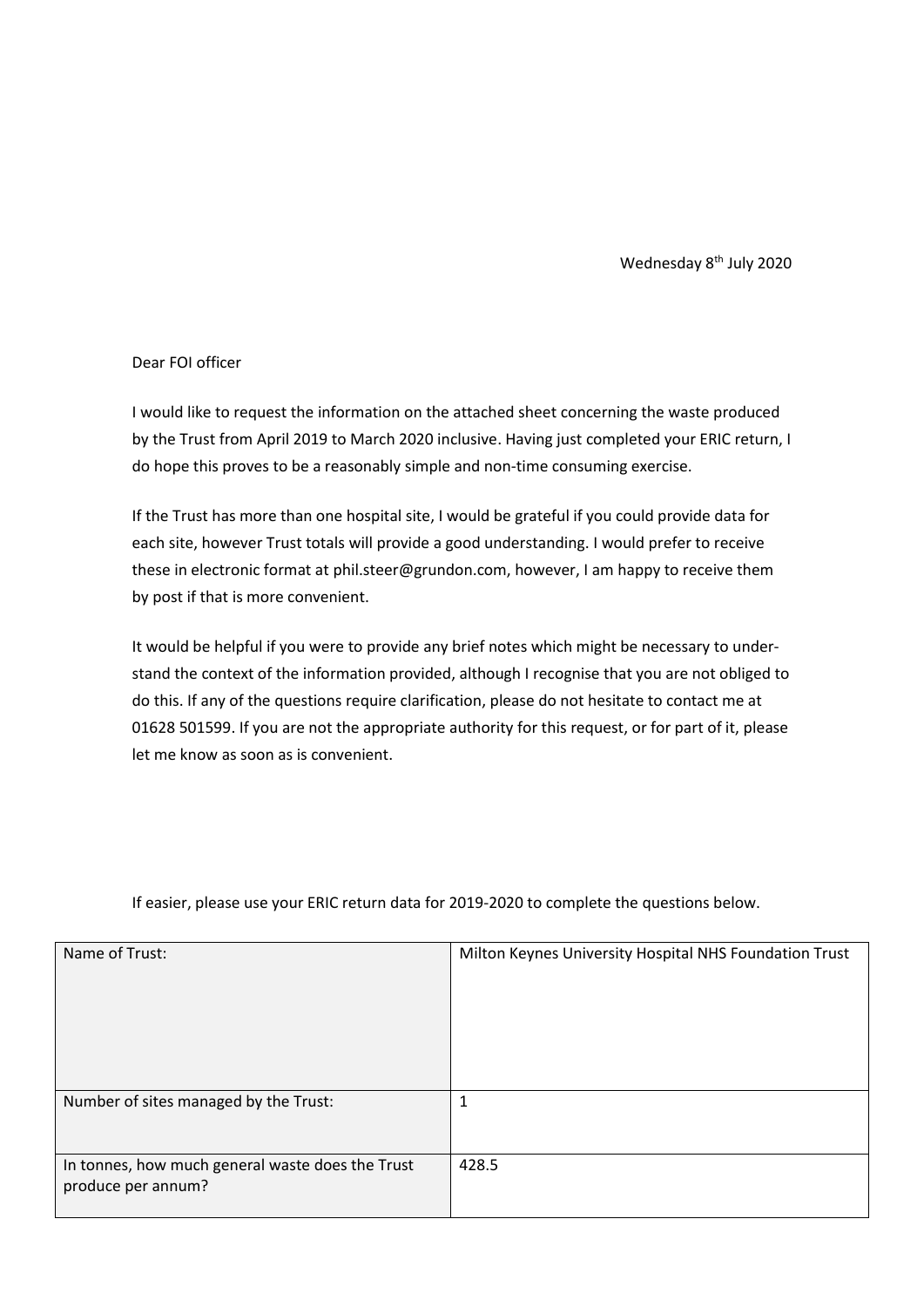Wednesday 8<sup>th</sup> July 2020

## Dear FOI officer

I would like to request the information on the attached sheet concerning the waste produced by the Trust from April 2019 to March 2020 inclusive. Having just completed your ERIC return, I do hope this proves to be a reasonably simple and non-time consuming exercise.

If the Trust has more than one hospital site, I would be grateful if you could provide data for each site, however Trust totals will provide a good understanding. I would prefer to receive these in electronic format at phil.steer@grundon.com, however, I am happy to receive them by post if that is more convenient.

It would be helpful if you were to provide any brief notes which might be necessary to understand the context of the information provided, although I recognise that you are not obliged to do this. If any of the questions require clarification, please do not hesitate to contact me at 01628 501599. If you are not the appropriate authority for this request, or for part of it, please let me know as soon as is convenient.

| Name of Trust:                                                         | Milton Keynes University Hospital NHS Foundation Trust |
|------------------------------------------------------------------------|--------------------------------------------------------|
| Number of sites managed by the Trust:                                  | 1                                                      |
| In tonnes, how much general waste does the Trust<br>produce per annum? | 428.5                                                  |

If easier, please use your ERIC return data for 2019-2020 to complete the questions below.